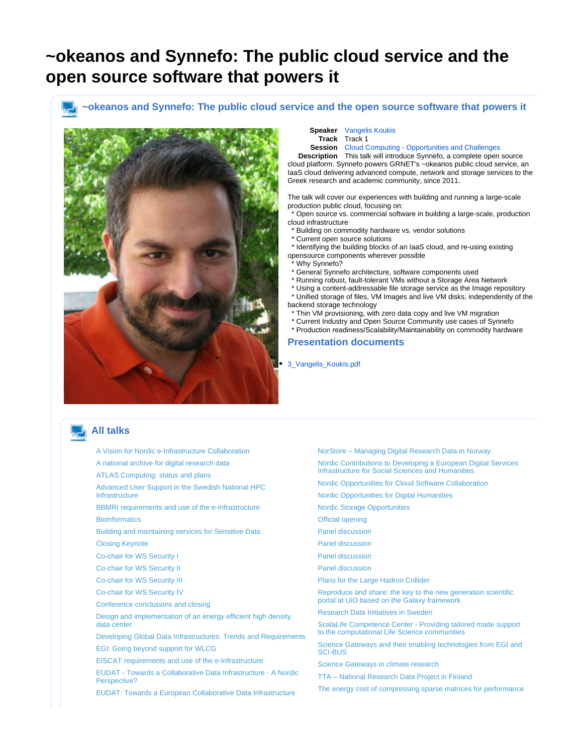# <span id="page-0-0"></span>**~okeanos and Synnefo: The public cloud service and the open source software that powers it**

### **~okeanos and Synnefo: The public cloud service and the open source software that powers it**



**Speaker** [Vangelis Koukis](https://events.nordu.net/display/NEIC13/Vangelis+Koukis) **Track** Track 1

**Session** [Cloud Computing - Opportunities and Challenges](https://events.nordu.net/display/NEIC13/Cloud+Computing+-+Opportunities+and+Challenges)

**Description** This talk will introduce Synnefo, a complete open source cloud platform. Synnefo powers GRNET's ~okeanos public cloud service, an IaaS cloud delivering advanced compute, network and storage services to the Greek research and academic community, since 2011.

The talk will cover our experiences with building and running a large-scale production public cloud, focusing on:

 \* Open source vs. commercial software in building a large-scale, production cloud infrastructure

- \* Building on commodity hardware vs. vendor solutions
- \* Current open source solutions
- \* Identifying the building blocks of an IaaS cloud, and re-using existing opensource components wherever possible
- \* Why Synnefo?
- \* General Synnefo architecture, software components used
- \* Running robust, fault-tolerant VMs without a Storage Area Network
- \* Using a content-addressable file storage service as the Image repository \* Unified storage of files, VM Images and live VM disks, independently of the
- backend storage technology Thin VM provisioning, with zero data copy and live VM migration
- \* Current Industry and Open Source Community use cases of Synnefo
- \* Production readiness/Scalability/Maintainability on commodity hardware

#### **Presentation documents**

#### [3\\_Vangelis\\_Koukis.pdf](https://events.nordu.net/plugins/servlet/conference-attachment/talks/118/223)

## **All talks**

[A Vision for Nordic e-Infrastructure Collaboration](https://events.nordu.net/display/NEIC13/A+Vision+for+Nordic+e-Infrastructure+Collaboration)

[A national archive for digital research data](https://events.nordu.net/display/NEIC13/A+national+archive+for+digital+research+data)

[ATLAS Computing: status and plans](https://events.nordu.net/display/NEIC13/ATLAS+Computing%3A+status+and+plans+-+2)

[Advanced User Support in the Swedish National HPC](https://events.nordu.net/display/NEIC13/Advanced+User+Support+in+the+Swedish+National+HPC+Infrastructure)  **[Infrastructure](https://events.nordu.net/display/NEIC13/Advanced+User+Support+in+the+Swedish+National+HPC+Infrastructure)** 

[BBMRI requirements and use of the e-Infrastructure](https://events.nordu.net/display/NEIC13/BBMRI+requirements+and+use+of+the+e-Infrastructure) **[Bioinformatics](https://events.nordu.net/pages/viewpage.action?pageId=3604669)** 

[Building and maintaining services for Sensitive Data](https://events.nordu.net/display/NEIC13/Building+and+maintaining+services+for+Sensitive+Data)

[Closing Keynote](https://events.nordu.net/display/NEIC13/Closing+Keynote)

[Co-chair for WS Security I](https://events.nordu.net/display/NEIC13/Co-chair+for++WS+Security+I)

[Co-chair for WS Security II](https://events.nordu.net/display/NEIC13/Co-chair+for++WS+Security+II)

[Co-chair for WS Security III](https://events.nordu.net/display/NEIC13/Co-chair+for++WS+Security+III)

[Co-chair for WS Security IV](https://events.nordu.net/display/NEIC13/Co-chair+for++WS+Security+IV)

[Conference conclusions and closing](https://events.nordu.net/display/NEIC13/Conference+conclusions+and+closing)

[Design and implementation of an energy efficient high density](https://events.nordu.net/display/NEIC13/Design+and+implementation+of+an+energy+efficient+high+density+data+center)  [data center](https://events.nordu.net/display/NEIC13/Design+and+implementation+of+an+energy+efficient+high+density+data+center)

[Developing Global Data Infrastructures: Trends and Requirements](https://events.nordu.net/display/NEIC13/Developing+Global+Data+Infrastructures%3A+Trends+and+Requirements)

[EGI: Going beyond support for WLCG](https://events.nordu.net/display/NEIC13/EGI%3A+Going+beyond+support+for+WLCG)

[EISCAT requirements and use of the e-Infrastructure](https://events.nordu.net/display/NEIC13/EISCAT+requirements+and+use+of+the+e-Infrastructure)

[EUDAT - Towards a Collaborative Data Infrastructure - A Nordic](https://events.nordu.net/pages/viewpage.action?pageId=3604692)  [Perspective?](https://events.nordu.net/pages/viewpage.action?pageId=3604692)

[EUDAT: Towards a European Collaborative Data Infrastructure](https://events.nordu.net/display/NEIC13/EUDAT%3A+Towards+a+European+Collaborative+Data+Infrastructure)

[NorStore – Managing Digital Research Data in Norway](https://events.nordu.net/pages/viewpage.action?pageId=5111878)

[Nordic Contributions to Developing a European Digital Services](https://events.nordu.net/display/NEIC13/Nordic+Contributions+to+Developing+a+European+Digital+Services+Infrastructure+for+Social+Sciences+and+Humanities)  [Infrastructure for Social Sciences and Humanities](https://events.nordu.net/display/NEIC13/Nordic+Contributions+to+Developing+a+European+Digital+Services+Infrastructure+for+Social+Sciences+and+Humanities)

[Nordic Opportunities for Cloud Software Collaboration](https://events.nordu.net/display/NEIC13/Nordic+Opportunities+for+Cloud+Software+Collaboration)

[Nordic Opportunities for Digital Humanities](https://events.nordu.net/display/NEIC13/Nordic+Opportunities+for+Digital+Humanities)

[Nordic Storage Opportunities](https://events.nordu.net/display/NEIC13/Nordic+Storage+Opportunities)

[Official opening](https://events.nordu.net/display/NEIC13/Official+opening)

[Panel discussion](https://events.nordu.net/display/NEIC13/Panel+discussion)

[Panel discussion](https://events.nordu.net/pages/viewpage.action?pageId=3604690)

[Panel discussion](https://events.nordu.net/display/NEIC13/Panel+discussion+-+2)

[Panel discussion](https://events.nordu.net/display/NEIC13/Panel+discussion+-+3)

[Plans for the Large Hadron Collider](https://events.nordu.net/display/NEIC13/Plans+for+the+Large+Hadron+Collider)

[Reproduce and share: the key to the new generation scientific](https://events.nordu.net/display/NEIC13/Reproduce+and+share%3A+the+key+to+the+new+generation+scientific+portal+at+UiO+based+on+the+Galaxy+framework)  [portal at UiO based on the Galaxy framework](https://events.nordu.net/display/NEIC13/Reproduce+and+share%3A+the+key+to+the+new+generation+scientific+portal+at+UiO+based+on+the+Galaxy+framework)

[Research Data Initiatives in Sweden](https://events.nordu.net/display/NEIC13/Research+Data+Initiatives+in+Sweden)

[ScalaLife Competence Center - Providing tailored made support](https://events.nordu.net/display/NEIC13/ScalaLife+Competence+Center+-+Providing+tailored+made+support+to+the+computational+Life+Science+communities)  [to the computational Life Science communities](https://events.nordu.net/display/NEIC13/ScalaLife+Competence+Center+-+Providing+tailored+made+support+to+the+computational+Life+Science+communities)

[Science Gateways and their enabling technologies from EGI and](https://events.nordu.net/display/NEIC13/Science+Gateways+and+their+enabling+technologies+from+EGI+and+SCI-BUS+)  [SCI-BUS](https://events.nordu.net/display/NEIC13/Science+Gateways+and+their+enabling+technologies+from+EGI+and+SCI-BUS+)

[Science Gateways in climate research](https://events.nordu.net/display/NEIC13/Science+Gateways+in+climate+research)

[TTA – National Research Data Project in Finland](https://events.nordu.net/pages/viewpage.action?pageId=5111876)

[The energy cost of compressing sparse matrices for performance](https://events.nordu.net/display/NEIC13/The+energy+cost+of+compressing+sparse+matrices+for+performance)